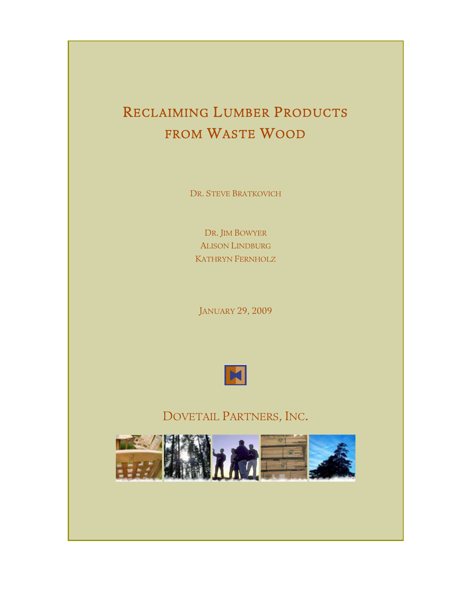# RECLAIMING LUMBER PRODUCTS FROM WASTE WOOD

DR. STEVE BRATKOVICH

DR. JIM BOWYER ALISON LINDBURG KATHRYN FERNHOLZ

JANUARY 29, 2009



DOVETAIL PARTNERS, INC.

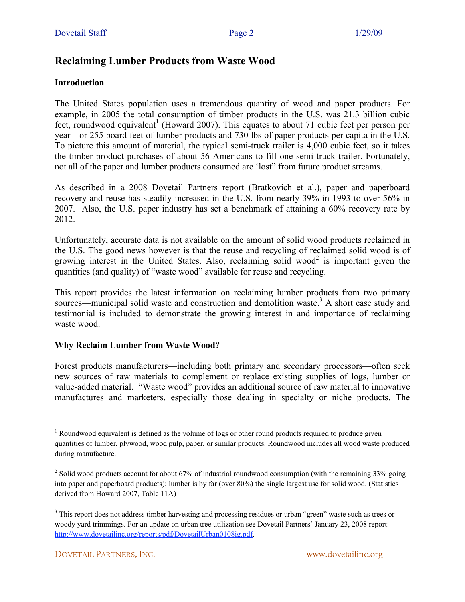# **Reclaiming Lumber Products from Waste Wood**

#### **Introduction**

The United States population uses a tremendous quantity of wood and paper products. For example, in 2005 the total consumption of timber products in the U.S. was 21.3 billion cubic feet, roundwood equivalent<sup>1</sup> (Howard 2007). This equates to about 71 cubic feet per person per year—or 255 board feet of lumber products and 730 lbs of paper products per capita in the U.S. To picture this amount of material, the typical semi-truck trailer is 4,000 cubic feet, so it takes the timber product purchases of about 56 Americans to fill one semi-truck trailer. Fortunately, not all of the paper and lumber products consumed are 'lost" from future product streams.

As described in a 2008 Dovetail Partners report (Bratkovich et al.), paper and paperboard recovery and reuse has steadily increased in the U.S. from nearly 39% in 1993 to over 56% in 2007. Also, the U.S. paper industry has set a benchmark of attaining a 60% recovery rate by 2012.

Unfortunately, accurate data is not available on the amount of solid wood products reclaimed in the U.S. The good news however is that the reuse and recycling of reclaimed solid wood is of growing interest in the United States. Also, reclaiming solid wood<sup>2</sup> is important given the quantities (and quality) of "waste wood" available for reuse and recycling.

This report provides the latest information on reclaiming lumber products from two primary sources—municipal solid waste and construction and demolition waste.<sup>3</sup> A short case study and testimonial is included to demonstrate the growing interest in and importance of reclaiming waste wood.

#### **Why Reclaim Lumber from Waste Wood?**

Forest products manufacturers—including both primary and secondary processors—often seek new sources of raw materials to complement or replace existing supplies of logs, lumber or value-added material. "Waste wood" provides an additional source of raw material to innovative manufactures and marketers, especially those dealing in specialty or niche products. The

<sup>&</sup>lt;sup>1</sup> Roundwood equivalent is defined as the volume of logs or other round products required to produce given quantities of lumber, plywood, wood pulp, paper, or similar products. Roundwood includes all wood waste produced during manufacture.

<sup>&</sup>lt;sup>2</sup> Solid wood products account for about 67% of industrial roundwood consumption (with the remaining 33% going into paper and paperboard products); lumber is by far (over 80%) the single largest use for solid wood. (Statistics derived from Howard 2007, Table 11A)

<sup>&</sup>lt;sup>3</sup> This report does not address timber harvesting and processing residues or urban "green" waste such as trees or woody yard trimmings. For an update on urban tree utilization see Dovetail Partners' January 23, 2008 report: http://www.dovetailinc.org/reports/pdf/DovetailUrban0108ig.pdf.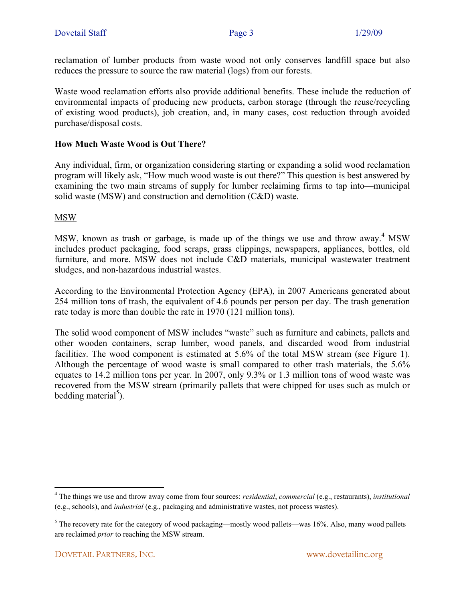reclamation of lumber products from waste wood not only conserves landfill space but also reduces the pressure to source the raw material (logs) from our forests.

Waste wood reclamation efforts also provide additional benefits. These include the reduction of environmental impacts of producing new products, carbon storage (through the reuse/recycling of existing wood products), job creation, and, in many cases, cost reduction through avoided purchase/disposal costs.

#### **How Much Waste Wood is Out There?**

Any individual, firm, or organization considering starting or expanding a solid wood reclamation program will likely ask, "How much wood waste is out there?" This question is best answered by examining the two main streams of supply for lumber reclaiming firms to tap into—municipal solid waste (MSW) and construction and demolition (C&D) waste.

MSW

MSW, known as trash or garbage, is made up of the things we use and throw away.<sup>4</sup> MSW includes product packaging, food scraps, grass clippings, newspapers, appliances, bottles, old furniture, and more. MSW does not include C&D materials, municipal wastewater treatment sludges, and non-hazardous industrial wastes.

According to the Environmental Protection Agency (EPA), in 2007 Americans generated about 254 million tons of trash, the equivalent of 4.6 pounds per person per day. The trash generation rate today is more than double the rate in 1970 (121 million tons).

The solid wood component of MSW includes "waste" such as furniture and cabinets, pallets and other wooden containers, scrap lumber, wood panels, and discarded wood from industrial facilities. The wood component is estimated at 5.6% of the total MSW stream (see Figure 1). Although the percentage of wood waste is small compared to other trash materials, the 5.6% equates to 14.2 million tons per year. In 2007, only 9.3% or 1.3 million tons of wood waste was recovered from the MSW stream (primarily pallets that were chipped for uses such as mulch or bedding material<sup>5</sup>).

<sup>4</sup> The things we use and throw away come from four sources: *residential*, *commercial* (e.g., restaurants), *institutional* (e.g., schools), and *industrial* (e.g., packaging and administrative wastes, not process wastes).

 $5$  The recovery rate for the category of wood packaging—mostly wood pallets—was 16%. Also, many wood pallets are reclaimed *prior* to reaching the MSW stream.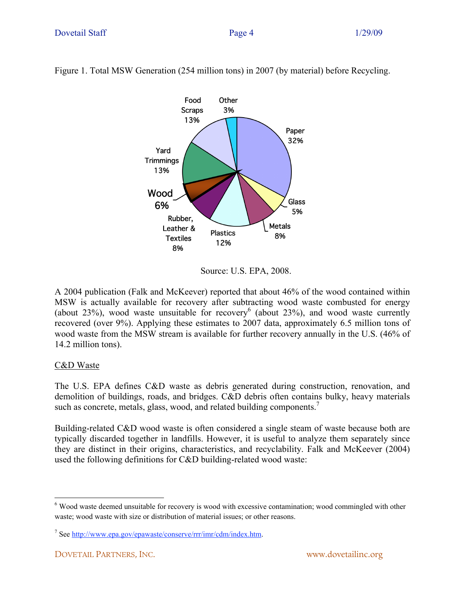

Figure 1. Total MSW Generation (254 million tons) in 2007 (by material) before Recycling.

Source: U.S. EPA, 2008.

A 2004 publication (Falk and McKeever) reported that about 46% of the wood contained within MSW is actually available for recovery after subtracting wood waste combusted for energy (about 23%), wood waste unsuitable for recovery<sup>6</sup> (about 23%), and wood waste currently recovered (over 9%). Applying these estimates to 2007 data, approximately 6.5 million tons of wood waste from the MSW stream is available for further recovery annually in the U.S. (46% of 14.2 million tons).

#### C&D Waste

The U.S. EPA defines C&D waste as debris generated during construction, renovation, and demolition of buildings, roads, and bridges. C&D debris often contains bulky, heavy materials such as concrete, metals, glass, wood, and related building components.<sup>7</sup>

Building-related C&D wood waste is often considered a single steam of waste because both are typically discarded together in landfills. However, it is useful to analyze them separately since they are distinct in their origins, characteristics, and recyclability. Falk and McKeever (2004) used the following definitions for C&D building-related wood waste:

<sup>&</sup>lt;sup>6</sup> Wood waste deemed unsuitable for recovery is wood with excessive contamination; wood commingled with other waste; wood waste with size or distribution of material issues: or other reasons.

<sup>&</sup>lt;sup>7</sup> See http://www.epa.gov/epawaste/conserve/rrr/imr/cdm/index.htm.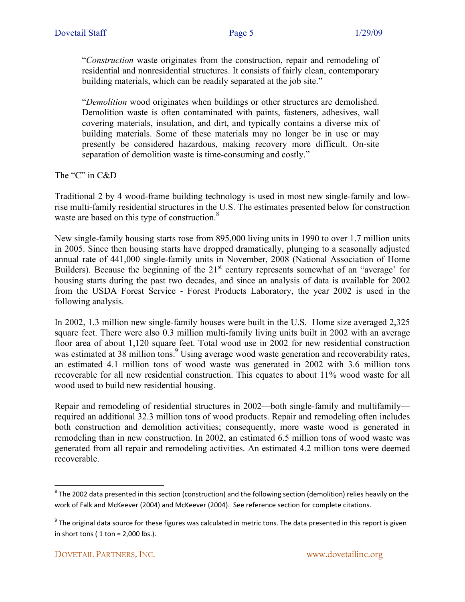"*Construction* waste originates from the construction, repair and remodeling of residential and nonresidential structures. It consists of fairly clean, contemporary building materials, which can be readily separated at the job site."

"*Demolition* wood originates when buildings or other structures are demolished. Demolition waste is often contaminated with paints, fasteners, adhesives, wall covering materials, insulation, and dirt, and typically contains a diverse mix of building materials. Some of these materials may no longer be in use or may presently be considered hazardous, making recovery more difficult. On-site separation of demolition waste is time-consuming and costly."

The "C" in C&D

Traditional 2 by 4 wood-frame building technology is used in most new single-family and lowrise multi-family residential structures in the U.S. The estimates presented below for construction waste are based on this type of construction.<sup>8</sup>

New single-family housing starts rose from 895,000 living units in 1990 to over 1.7 million units in 2005. Since then housing starts have dropped dramatically, plunging to a seasonally adjusted annual rate of 441,000 single-family units in November, 2008 (National Association of Home Builders). Because the beginning of the 21<sup>st</sup> century represents somewhat of an "average' for housing starts during the past two decades, and since an analysis of data is available for 2002 from the USDA Forest Service - Forest Products Laboratory, the year 2002 is used in the following analysis.

In 2002, 1.3 million new single-family houses were built in the U.S. Home size averaged 2,325 square feet. There were also 0.3 million multi-family living units built in 2002 with an average floor area of about 1,120 square feet. Total wood use in 2002 for new residential construction was estimated at 38 million tons.<sup>9</sup> Using average wood waste generation and recoverability rates, an estimated 4.1 million tons of wood waste was generated in 2002 with 3.6 million tons recoverable for all new residential construction. This equates to about 11% wood waste for all wood used to build new residential housing.

Repair and remodeling of residential structures in 2002—both single-family and multifamily required an additional 32.3 million tons of wood products. Repair and remodeling often includes both construction and demolition activities; consequently, more waste wood is generated in remodeling than in new construction. In 2002, an estimated 6.5 million tons of wood waste was generated from all repair and remodeling activities. An estimated 4.2 million tons were deemed recoverable.

 $^8$  The 2002 data presented in this section (construction) and the following section (demolition) relies heavily on the work of Falk and McKeever (2004) and McKeever (2004). See reference section for complete citations.

 $^9$  The original data source for these figures was calculated in metric tons. The data presented in this report is given in short tons ( $1$  ton =  $2,000$  lbs.).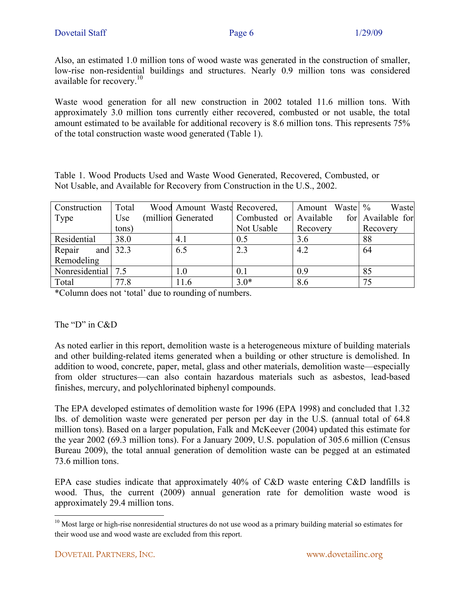Also, an estimated 1.0 million tons of wood waste was generated in the construction of smaller, low-rise non-residential buildings and structures. Nearly 0.9 million tons was considered available for recovery.<sup>10</sup>

Waste wood generation for all new construction in 2002 totaled 11.6 million tons. With approximately 3.0 million tons currently either recovered, combusted or not usable, the total amount estimated to be available for additional recovery is 8.6 million tons. This represents 75% of the total construction waste wood generated (Table 1).

Table 1. Wood Products Used and Waste Wood Generated, Recovered, Combusted, or Not Usable, and Available for Recovery from Construction in the U.S., 2002.

| Construction         | Total | Wood Amount Waste Recovered, |                        | Amount Waste | Waste             |
|----------------------|-------|------------------------------|------------------------|--------------|-------------------|
| Type                 | Use   | (million Generated           | Combusted or Available |              | for Available for |
|                      | tons) |                              | Not Usable             | Recovery     | Recovery          |
| Residential          | 38.0  | 4.1                          | 0.5                    | 3.6          | 88                |
| and $32.3$<br>Repair |       | 6.5                          | 2.3                    | 4.2          | 64                |
| Remodeling           |       |                              |                        |              |                   |
| Nonresidential 7.5   |       | 1.0                          | 0.1                    | 0.9          | 85                |
| Total                | 77.8  | 11.6                         | $3.0*$                 | 8.6          | 75                |

\*Column does not 'total' due to rounding of numbers.

#### The "D" in C&D

As noted earlier in this report, demolition waste is a heterogeneous mixture of building materials and other building-related items generated when a building or other structure is demolished. In addition to wood, concrete, paper, metal, glass and other materials, demolition waste—especially from older structures—can also contain hazardous materials such as asbestos, lead-based finishes, mercury, and polychlorinated biphenyl compounds.

The EPA developed estimates of demolition waste for 1996 (EPA 1998) and concluded that 1.32 lbs. of demolition waste were generated per person per day in the U.S. (annual total of 64.8 million tons). Based on a larger population, Falk and McKeever (2004) updated this estimate for the year 2002 (69.3 million tons). For a January 2009, U.S. population of 305.6 million (Census Bureau 2009), the total annual generation of demolition waste can be pegged at an estimated 73.6 million tons.

EPA case studies indicate that approximately 40% of C&D waste entering C&D landfills is wood. Thus, the current (2009) annual generation rate for demolition waste wood is approximately 29.4 million tons.

<sup>&</sup>lt;sup>10</sup> Most large or high-rise nonresidential structures do not use wood as a primary building material so estimates for their wood use and wood waste are excluded from this report.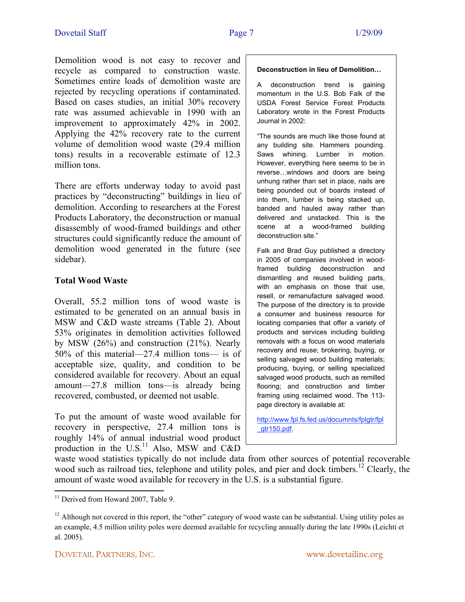Demolition wood is not easy to recover and recycle as compared to construction waste. Sometimes entire loads of demolition waste are rejected by recycling operations if contaminated. Based on cases studies, an initial 30% recovery rate was assumed achievable in 1990 with an improvement to approximately 42% in 2002. Applying the 42% recovery rate to the current volume of demolition wood waste (29.4 million tons) results in a recoverable estimate of 12.3 million tons.

There are efforts underway today to avoid past practices by "deconstructing" buildings in lieu of demolition. According to researchers at the Forest Products Laboratory, the deconstruction or manual disassembly of wood-framed buildings and other structures could significantly reduce the amount of demolition wood generated in the future (see sidebar).

#### **Total Wood Waste**

Overall, 55.2 million tons of wood waste is estimated to be generated on an annual basis in MSW and C&D waste streams (Table 2). About 53% originates in demolition activities followed by MSW (26%) and construction (21%). Nearly 50% of this material—27.4 million tons— is of acceptable size, quality, and condition to be considered available for recovery. About an equal amount—27.8 million tons—is already being recovered, combusted, or deemed not usable.

To put the amount of waste wood available for recovery in perspective, 27.4 million tons is roughly 14% of annual industrial wood product production in the  $U.S.<sup>11</sup>$  Also, MSW and C&D

#### **Deconstruction in lieu of Demolition…**

A deconstruction trend is gaining momentum in the U.S. Bob Falk of the USDA Forest Service Forest Products Laboratory wrote in the Forest Products Journal in 2002:

"The sounds are much like those found at any building site. Hammers pounding. Saws whining. Lumber in motion. However, everything here seems to be in reverse…windows and doors are being unhung rather than set in place, nails are being pounded out of boards instead of into them, lumber is being stacked up, banded and hauled away rather than delivered and unstacked. This is the scene at a wood-framed building deconstruction site."

Falk and Brad Guy published a directory in 2005 of companies involved in woodframed building deconstruction and dismantling and reused building parts, with an emphasis on those that use, resell, or remanufacture salvaged wood. The purpose of the directory is to provide a consumer and business resource for locating companies that offer a variety of products and services including building removals with a focus on wood materials recovery and reuse; brokering, buying, or selling salvaged wood building materials; producing, buying, or selling specialized salvaged wood products, such as remilled flooring; and construction and timber framing using reclaimed wood. The 113 page directory is available at:

http://www.fpl.fs.fed.us/documnts/fplgtr/fpl \_gtr150.pdf.

waste wood statistics typically do not include data from other sources of potential recoverable wood such as railroad ties, telephone and utility poles, and pier and dock timbers.<sup>12</sup> Clearly, the amount of waste wood available for recovery in the U.S. is a substantial figure.

<sup>&</sup>lt;u> 1989 - Johann Harry Barn, mars ar breist ar yn y breist y breist y breist y breist ar y breist ar y breist a</u> <sup>11</sup> Derived from Howard 2007, Table 9.

<sup>&</sup>lt;sup>12</sup> Although not covered in this report, the "other" category of wood waste can be substantial. Using utility poles as an example, 4.5 million utility poles were deemed available for recycling annually during the late 1990s (Leichti et al. 2005).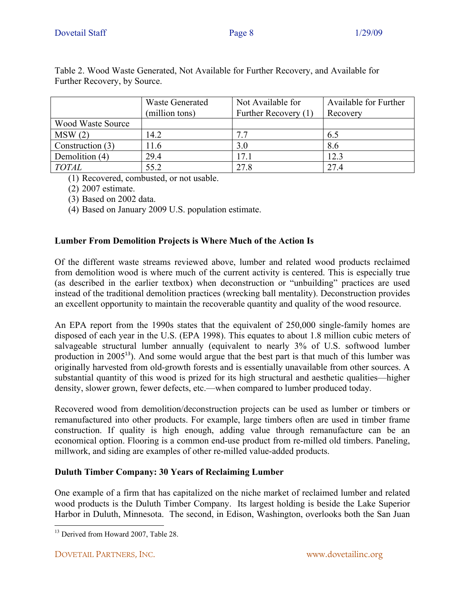|                          | <b>Waste Generated</b> | Not Available for    | Available for Further |  |
|--------------------------|------------------------|----------------------|-----------------------|--|
|                          | (million tons)         | Further Recovery (1) | Recovery              |  |
| <b>Wood Waste Source</b> |                        |                      |                       |  |
| MSW(2)                   | 14.2                   | 77                   | 6.5                   |  |
| Construction (3)         | 11.6                   | 3.0                  | 8.6                   |  |
| Demolition (4)           | 29.4                   | 17.1                 | 12.3                  |  |
| <i>TOTAL</i>             | 55.2                   | 27.8                 | 27.4                  |  |

Table 2. Wood Waste Generated, Not Available for Further Recovery, and Available for Further Recovery, by Source.

(1) Recovered, combusted, or not usable.

(2) 2007 estimate.

(3) Based on 2002 data.

(4) Based on January 2009 U.S. population estimate.

# **Lumber From Demolition Projects is Where Much of the Action Is**

Of the different waste streams reviewed above, lumber and related wood products reclaimed from demolition wood is where much of the current activity is centered. This is especially true (as described in the earlier textbox) when deconstruction or "unbuilding" practices are used instead of the traditional demolition practices (wrecking ball mentality). Deconstruction provides an excellent opportunity to maintain the recoverable quantity and quality of the wood resource.

An EPA report from the 1990s states that the equivalent of 250,000 single-family homes are disposed of each year in the U.S. (EPA 1998). This equates to about 1.8 million cubic meters of salvageable structural lumber annually (equivalent to nearly 3% of U.S. softwood lumber production in  $2005^{13}$ ). And some would argue that the best part is that much of this lumber was originally harvested from old-growth forests and is essentially unavailable from other sources. A substantial quantity of this wood is prized for its high structural and aesthetic qualities—higher density, slower grown, fewer defects, etc.—when compared to lumber produced today.

Recovered wood from demolition/deconstruction projects can be used as lumber or timbers or remanufactured into other products. For example, large timbers often are used in timber frame construction. If quality is high enough, adding value through remanufacture can be an economical option. Flooring is a common end-use product from re-milled old timbers. Paneling, millwork, and siding are examples of other re-milled value-added products.

# **Duluth Timber Company: 30 Years of Reclaiming Lumber**

One example of a firm that has capitalized on the niche market of reclaimed lumber and related wood products is the Duluth Timber Company. Its largest holding is beside the Lake Superior Harbor in Duluth, Minnesota. The second, in Edison, Washington, overlooks both the San Juan

 <sup>13</sup> Derived from Howard 2007, Table 28.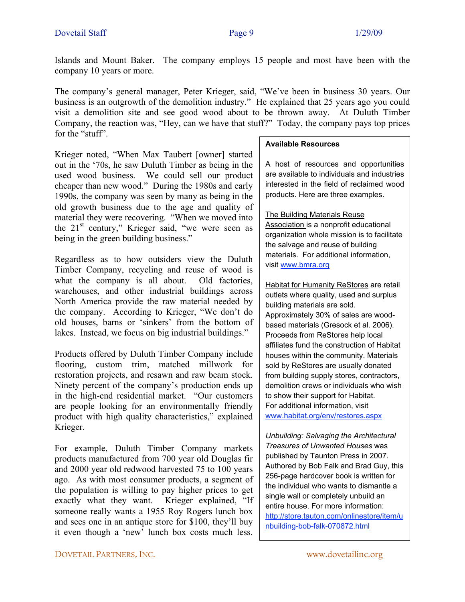Islands and Mount Baker. The company employs 15 people and most have been with the company 10 years or more.

The company's general manager, Peter Krieger, said, "We've been in business 30 years. Our business is an outgrowth of the demolition industry." He explained that 25 years ago you could visit a demolition site and see good wood about to be thrown away. At Duluth Timber Company, the reaction was, "Hey, can we have that stuff?" Today, the company pays top prices for the "stuff".

Krieger noted, "When Max Taubert [owner] started out in the '70s, he saw Duluth Timber as being in the used wood business. We could sell our product cheaper than new wood." During the 1980s and early 1990s, the company was seen by many as being in the old growth business due to the age and quality of material they were recovering. "When we moved into the 21<sup>st</sup> century," Krieger said, "we were seen as being in the green building business."

Regardless as to how outsiders view the Duluth Timber Company, recycling and reuse of wood is what the company is all about. Old factories, warehouses, and other industrial buildings across North America provide the raw material needed by the company. According to Krieger, "We don't do old houses, barns or 'sinkers' from the bottom of lakes. Instead, we focus on big industrial buildings."

Products offered by Duluth Timber Company include flooring, custom trim, matched millwork for restoration projects, and resawn and raw beam stock. Ninety percent of the company's production ends up in the high-end residential market. "Our customers are people looking for an environmentally friendly product with high quality characteristics," explained Krieger.

For example, Duluth Timber Company markets products manufactured from 700 year old Douglas fir and 2000 year old redwood harvested 75 to 100 years ago. As with most consumer products, a segment of the population is willing to pay higher prices to get exactly what they want. Krieger explained, "If someone really wants a 1955 Roy Rogers lunch box and sees one in an antique store for \$100, they'll buy it even though a 'new' lunch box costs much less.

#### **Available Resources**

A host of resources and opportunities are available to individuals and industries interested in the field of reclaimed wood products. Here are three examples.

The Building Materials Reuse Association is a nonprofit educational organization whole mission is to facilitate the salvage and reuse of building materials. For additional information, visit www.bmra.org

**Habitat for Humanity ReStores are retail** outlets where quality, used and surplus building materials are sold. Approximately 30% of sales are woodbased materials (Gresock et al. 2006). Proceeds from ReStores help local affiliates fund the construction of Habitat houses within the community. Materials sold by ReStores are usually donated from building supply stores, contractors, demolition crews or individuals who wish to show their support for Habitat. For additional information, visit www.habitat.org/env/restores.aspx

*Unbuilding: Salvaging the Architectural Treasures of Unwanted Houses* was published by Taunton Press in 2007. Authored by Bob Falk and Brad Guy, this 256-page hardcover book is written for the individual who wants to dismantle a single wall or completely unbuild an entire house. For more information: http://store.tauton.com/onlinestore/item/u nbuilding-bob-falk-070872.html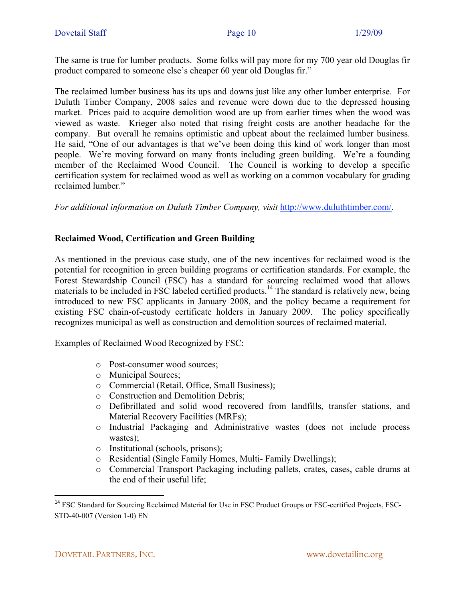The same is true for lumber products. Some folks will pay more for my 700 year old Douglas fir product compared to someone else's cheaper 60 year old Douglas fir."

The reclaimed lumber business has its ups and downs just like any other lumber enterprise. For Duluth Timber Company, 2008 sales and revenue were down due to the depressed housing market. Prices paid to acquire demolition wood are up from earlier times when the wood was viewed as waste. Krieger also noted that rising freight costs are another headache for the company. But overall he remains optimistic and upbeat about the reclaimed lumber business. He said, "One of our advantages is that we've been doing this kind of work longer than most people. We're moving forward on many fronts including green building. We're a founding member of the Reclaimed Wood Council. The Council is working to develop a specific certification system for reclaimed wood as well as working on a common vocabulary for grading reclaimed lumber."

*For additional information on Duluth Timber Company, visit* http://www.duluthtimber.com/.

## **Reclaimed Wood, Certification and Green Building**

As mentioned in the previous case study, one of the new incentives for reclaimed wood is the potential for recognition in green building programs or certification standards. For example, the Forest Stewardship Council (FSC) has a standard for sourcing reclaimed wood that allows materials to be included in FSC labeled certified products.<sup>14</sup> The standard is relatively new, being introduced to new FSC applicants in January 2008, and the policy became a requirement for existing FSC chain-of-custody certificate holders in January 2009. The policy specifically recognizes municipal as well as construction and demolition sources of reclaimed material.

Examples of Reclaimed Wood Recognized by FSC:

- o Post-consumer wood sources;
- o Municipal Sources;
- o Commercial (Retail, Office, Small Business);
- o Construction and Demolition Debris;
- o Defibrillated and solid wood recovered from landfills, transfer stations, and Material Recovery Facilities (MRFs);
- o Industrial Packaging and Administrative wastes (does not include process wastes);
- o Institutional (schools, prisons);
- o Residential (Single Family Homes, Multi- Family Dwellings);
- o Commercial Transport Packaging including pallets, crates, cases, cable drums at the end of their useful life;

<sup>&</sup>lt;sup>14</sup> FSC Standard for Sourcing Reclaimed Material for Use in FSC Product Groups or FSC-certified Projects, FSC-STD-40-007 (Version 1-0) EN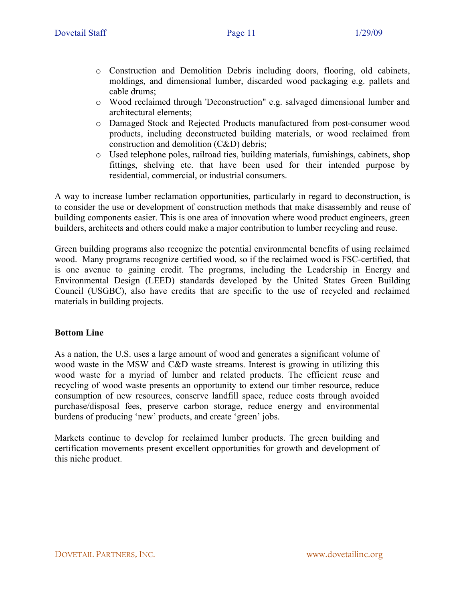- o Construction and Demolition Debris including doors, flooring, old cabinets, moldings, and dimensional lumber, discarded wood packaging e.g. pallets and cable drums;
- o Wood reclaimed through 'Deconstruction" e.g. salvaged dimensional lumber and architectural elements;
- o Damaged Stock and Rejected Products manufactured from post-consumer wood products, including deconstructed building materials, or wood reclaimed from construction and demolition (C&D) debris;
- o Used telephone poles, railroad ties, building materials, furnishings, cabinets, shop fittings, shelving etc. that have been used for their intended purpose by residential, commercial, or industrial consumers.

A way to increase lumber reclamation opportunities, particularly in regard to deconstruction, is to consider the use or development of construction methods that make disassembly and reuse of building components easier. This is one area of innovation where wood product engineers, green builders, architects and others could make a major contribution to lumber recycling and reuse.

Green building programs also recognize the potential environmental benefits of using reclaimed wood. Many programs recognize certified wood, so if the reclaimed wood is FSC-certified, that is one avenue to gaining credit. The programs, including the Leadership in Energy and Environmental Design (LEED) standards developed by the United States Green Building Council (USGBC), also have credits that are specific to the use of recycled and reclaimed materials in building projects.

## **Bottom Line**

As a nation, the U.S. uses a large amount of wood and generates a significant volume of wood waste in the MSW and C&D waste streams. Interest is growing in utilizing this wood waste for a myriad of lumber and related products. The efficient reuse and recycling of wood waste presents an opportunity to extend our timber resource, reduce consumption of new resources, conserve landfill space, reduce costs through avoided purchase/disposal fees, preserve carbon storage, reduce energy and environmental burdens of producing 'new' products, and create 'green' jobs.

Markets continue to develop for reclaimed lumber products. The green building and certification movements present excellent opportunities for growth and development of this niche product.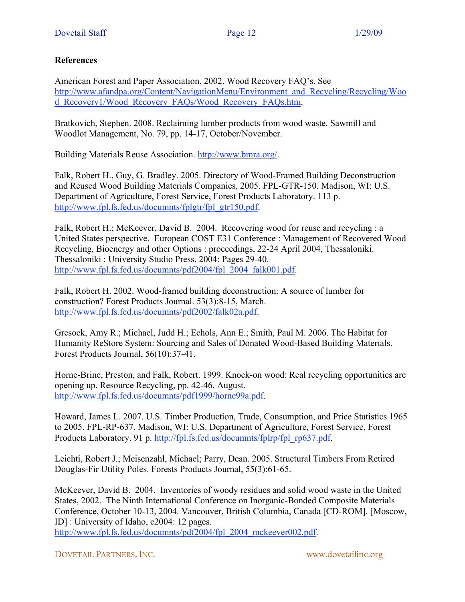#### **References**

American Forest and Paper Association. 2002. Wood Recovery FAQ's. See http://www.afandpa.org/Content/NavigationMenu/Environment\_and\_Recycling/Recycling/Woo d\_Recovery1/Wood\_Recovery\_FAQs/Wood\_Recovery\_FAQs.htm.

Bratkovich, Stephen. 2008. Reclaiming lumber products from wood waste. Sawmill and Woodlot Management, No. 79, pp. 14-17, October/November.

Building Materials Reuse Association. http://www.bmra.org/.

Falk, Robert H., Guy, G. Bradley. 2005. Directory of Wood-Framed Building Deconstruction and Reused Wood Building Materials Companies, 2005. FPL-GTR-150. Madison, WI: U.S. Department of Agriculture, Forest Service, Forest Products Laboratory. 113 p. http://www.fpl.fs.fed.us/documnts/fplgtr/fpl\_gtr150.pdf.

Falk, Robert H.; McKeever, David B. 2004. Recovering wood for reuse and recycling : a United States perspective. European COST E31 Conference : Management of Recovered Wood Recycling, Bioenergy and other Options : proceedings, 22-24 April 2004, Thessaloniki. Thessaloniki : University Studio Press, 2004: Pages 29-40. http://www.fpl.fs.fed.us/documnts/pdf2004/fpl\_2004\_falk001.pdf.

Falk, Robert H. 2002. Wood-framed building deconstruction: A source of lumber for construction? Forest Products Journal. 53(3):8-15, March. http://www.fpl.fs.fed.us/documnts/pdf2002/falk02a.pdf.

Gresock, Amy R.; Michael, Judd H.; Echols, Ann E.; Smith, Paul M. 2006. The Habitat for Humanity ReStore System: Sourcing and Sales of Donated Wood-Based Building Materials. Forest Products Journal, 56(10):37-41.

Horne-Brine, Preston, and Falk, Robert. 1999. Knock-on wood: Real recycling opportunities are opening up. Resource Recycling, pp. 42-46, August. http://www.fpl.fs.fed.us/documnts/pdf1999/horne99a.pdf.

Howard, James L. 2007. U.S. Timber Production, Trade, Consumption, and Price Statistics 1965 to 2005. FPL-RP-637. Madison, WI: U.S. Department of Agriculture, Forest Service, Forest Products Laboratory. 91 p. http://fpl.fs.fed.us/documnts/fplrp/fpl\_rp637.pdf.

Leichti, Robert J.; Meisenzahl, Michael; Parry, Dean. 2005. Structural Timbers From Retired Douglas-Fir Utility Poles. Forests Products Journal, 55(3):61-65.

McKeever, David B. 2004. Inventories of woody residues and solid wood waste in the United States, 2002. The Ninth International Conference on Inorganic-Bonded Composite Materials Conference, October 10-13, 2004. Vancouver, British Columbia, Canada [CD-ROM]. [Moscow, ID] : University of Idaho, c2004: 12 pages.

http://www.fpl.fs.fed.us/documnts/pdf2004/fpl\_2004\_mckeever002.pdf.

DOVETAIL PARTNERS, INC. www.dovetailinc.org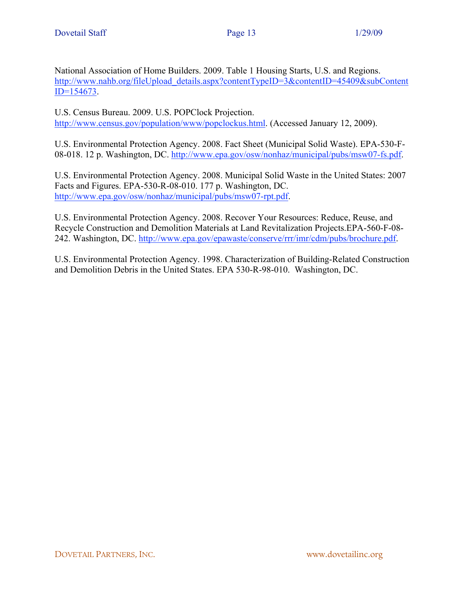National Association of Home Builders. 2009. Table 1 Housing Starts, U.S. and Regions. http://www.nahb.org/fileUpload\_details.aspx?contentTypeID=3&contentID=45409&subContent ID=154673.

U.S. Census Bureau. 2009. U.S. POPClock Projection. http://www.census.gov/population/www/popclockus.html. (Accessed January 12, 2009).

U.S. Environmental Protection Agency. 2008. Fact Sheet (Municipal Solid Waste). EPA-530-F-08-018. 12 p. Washington, DC. http://www.epa.gov/osw/nonhaz/municipal/pubs/msw07-fs.pdf.

U.S. Environmental Protection Agency. 2008. Municipal Solid Waste in the United States: 2007 Facts and Figures. EPA-530-R-08-010. 177 p. Washington, DC. http://www.epa.gov/osw/nonhaz/municipal/pubs/msw07-rpt.pdf.

U.S. Environmental Protection Agency. 2008. Recover Your Resources: Reduce, Reuse, and Recycle Construction and Demolition Materials at Land Revitalization Projects.EPA-560-F-08- 242. Washington, DC. http://www.epa.gov/epawaste/conserve/rrr/imr/cdm/pubs/brochure.pdf.

U.S. Environmental Protection Agency. 1998. Characterization of Building-Related Construction and Demolition Debris in the United States. EPA 530-R-98-010. Washington, DC.